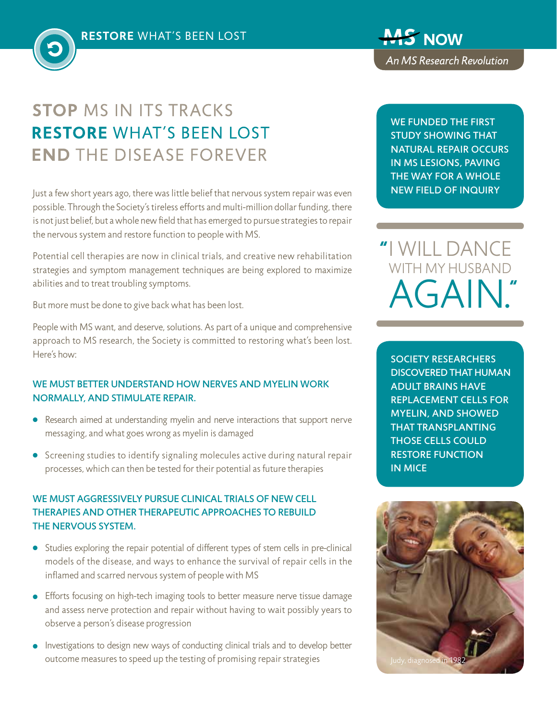# **STOP MS IN ITS TRACKS RESTORE WHAT'S BEEN LOST END THE DISEASE FOREVER**

Just a few short years ago, there was little belief that nervous system repair was even possible. Through the Society's tireless efforts and multi-million dollar funding, there is not just belief, but a whole new field that has emerged to pursue strategies to repair the nervous system and restore function to people with MS.

Potential cell therapies are now in clinical trials, and creative new rehabilitation strategies and symptom management techniques are being explored to maximize abilities and to treat troubling symptoms.

But more must be done to give back what has been lost.

People with MS want, and deserve, solutions. As part of a unique and comprehensive approach to MS research, the Society is committed to restoring what's been lost. Here's how:

#### WE MUST BETTER UNDERSTAND HOW NERVES AND MYELIN WORK normally, and stimulate repair.

- Research aimed at understanding myelin and nerve interactions that support nerve messaging, and what goes wrong as myelin is damaged
- **•** Screening studies to identify signaling molecules active during natural repair processes, which can then be tested for their potential as future therapies

## We must aggressively pursue clinical trials of new cell therapies and other therapeutic approaches to rebuild the nervous system.

- Studies exploring the repair potential of different types of stem cells in pre-clinical models of the disease, and ways to enhance the survival of repair cells in the inflamed and scarred nervous system of people with MS
- Efforts focusing on high-tech imaging tools to better measure nerve tissue damage and assess nerve protection and repair without having to wait possibly years to observe a person's disease progression
- Investigations to design new ways of conducting clinical trials and to develop better outcome measures to speed up the testing of promising repair strategies

**MS NOW** An MS Research Revolution

We funded the first study showing that natural repair occurs in MS lesions, paving the way for a whole new field of inquiry

I will dance WITH MY HUSBAND  $AGAII$ 

Society researchers discovered that human adult brains have replacement cells for myelin, and showed that transplanting those cells could restore function in mice